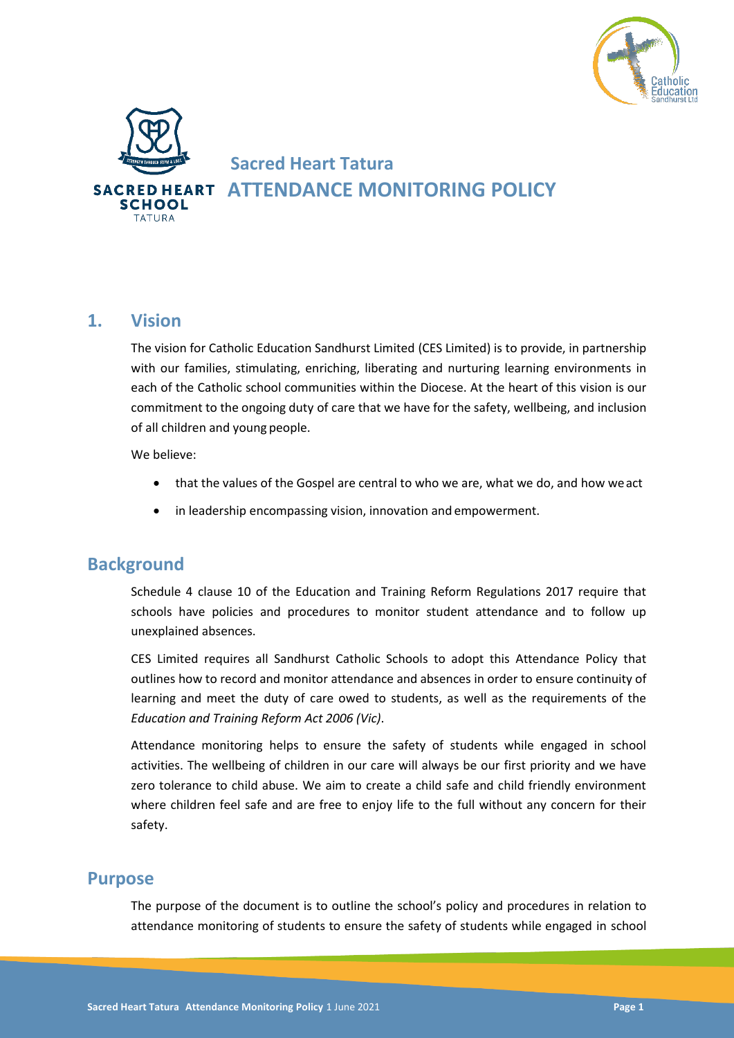



# **Sacred Heart Tatura ATTENDANCE MONITORING POLICY**

#### **1. Vision**

The vision for Catholic Education Sandhurst Limited (CES Limited) is to provide, in partnership with our families, stimulating, enriching, liberating and nurturing learning environments in each of the Catholic school communities within the Diocese. At the heart of this vision is our commitment to the ongoing duty of care that we have for the safety, wellbeing, and inclusion of all children and young people.

We believe:

- that the values of the Gospel are central to who we are, what we do, and how weact
- in leadership encompassing vision, innovation and empowerment.

# **Background**

Schedule 4 clause 10 of the Education and Training Reform Regulations 2017 require that schools have policies and procedures to monitor student attendance and to follow up unexplained absences.

CES Limited requires all Sandhurst Catholic Schools to adopt this Attendance Policy that outlines how to record and monitor attendance and absences in order to ensure continuity of learning and meet the duty of care owed to students, as well as the requirements of the *Education and Training Reform Act 2006 (Vic)*.

Attendance monitoring helps to ensure the safety of students while engaged in school activities. The wellbeing of children in our care will always be our first priority and we have zero tolerance to child abuse. We aim to create a child safe and child friendly environment where children feel safe and are free to enjoy life to the full without any concern for their safety.

#### **Purpose**

The purpose of the document is to outline the school's policy and procedures in relation to attendance monitoring of students to ensure the safety of students while engaged in school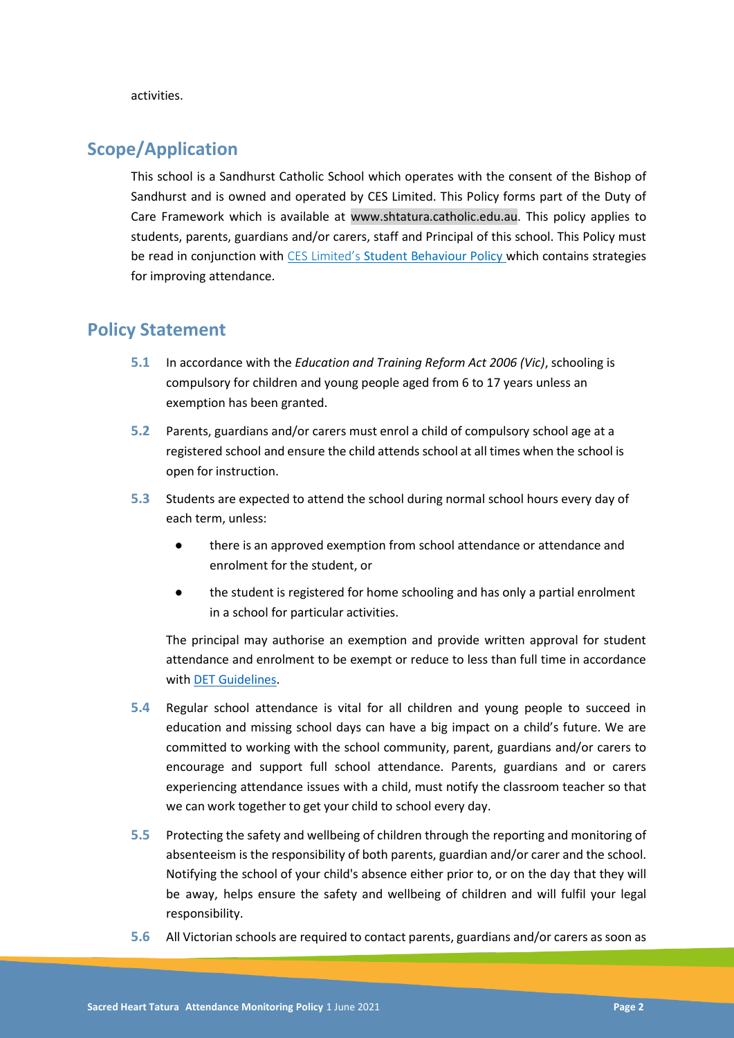activities.

# **Scope/Application**

This school is a Sandhurst Catholic School which operates with the consent of the Bishop of Sandhurst and is owned and operated by CES Limited. This Policy forms part of the Duty of Care Framework which is available at www.shtatura.catholic.edu.au. This policy applies to students, parents, guardians and/or carers, staff and Principal of this school. This Policy must be read in conjunction with CES Limited's Student Behaviour Policy which contains strategies for improving attendance.

#### **Policy Statement**

- **5.1** In accordance with the *Education and Training Reform Act 2006 (Vic)*, schooling is compulsory for children and young people aged from 6 to 17 years unless an exemption has been granted.
- **5.2** Parents, guardians and/or carers must enrol a child of compulsory school age at a registered school and ensure the child attends school at all times when the school is open for instruction.
- **5.3** Students are expected to attend the school during normal school hours every day of each term, unless:
	- there is an approved exemption from school attendance or attendance and enrolment for the student, or
	- the student is registered for home schooling and has only a partial enrolment in a school for particular activities.

The principal may authorise an exemption and provide written approval for student attendance and enrolment to be exempt or reduce to less than full time in accordance with [DET Guidelines.](https://www2.education.vic.gov.au/pal/exemption-school-attendance-and-enrolment/guidance)

- **5.4** Regular school attendance is vital for all children and young people to succeed in education and missing school days can have a big impact on a child's future. We are committed to working with the school community, parent, guardians and/or carers to encourage and support full school attendance. Parents, guardians and or carers experiencing attendance issues with a child, must notify the classroom teacher so that we can work together to get your child to school every day.
- **5.5** Protecting the safety and wellbeing of children through the reporting and monitoring of absenteeism is the responsibility of both parents, guardian and/or carer and the school. Notifying the school of your child's absence either prior to, or on the day that they will be away, helps ensure the safety and wellbeing of children and will fulfil your legal responsibility.
- **5.6** All Victorian schools are required to contact parents, guardians and/or carers as soon as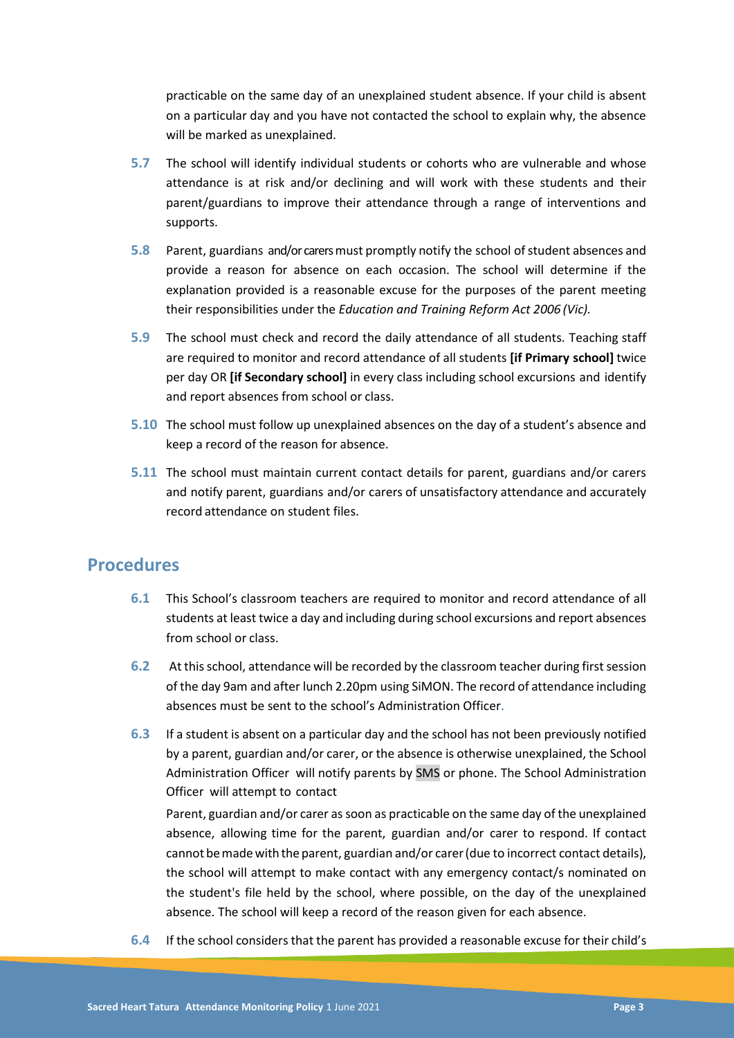practicable on the same day of an unexplained student absence. If your child is absent on a particular day and you have not contacted the school to explain why, the absence will be marked as unexplained.

- **5.7** The school will identify individual students or cohorts who are vulnerable and whose attendance is at risk and/or declining and will work with these students and their parent/guardians to improve their attendance through a range of interventions and supports.
- **5.8** Parent, guardians and/or carers must promptly notify the school of student absences and provide a reason for absence on each occasion. The school will determine if the explanation provided is a reasonable excuse for the purposes of the parent meeting their responsibilities under the *Education and Training Reform Act 2006 (Vic).*
- **5.9** The school must check and record the daily attendance of all students. Teaching staff are required to monitor and record attendance of all students **[if Primary school]** twice per day OR **[if Secondary school]** in every class including school excursions and identify and report absences from school or class.
- **5.10** The school must follow up unexplained absences on the day of a student's absence and keep a record of the reason for absence.
- **5.11** The school must maintain current contact details for parent, guardians and/or carers and notify parent, guardians and/or carers of unsatisfactory attendance and accurately record attendance on student files.

# **Procedures**

- **6.1** This School's classroom teachers are required to monitor and record attendance of all students at least twice a day and including during school excursions and report absences from school or class.
- **6.2** At this school, attendance will be recorded by the classroom teacher during first session of the day 9am and after lunch 2.20pm using SiMON. The record of attendance including absences must be sent to the school's Administration Officer.
- **6.3** If a student is absent on a particular day and the school has not been previously notified by a parent, guardian and/or carer, or the absence is otherwise unexplained, the School Administration Officer will notify parents by SMS or phone. The School Administration Officer will attempt to contact

Parent, guardian and/or carer as soon as practicable on the same day of the unexplained absence, allowing time for the parent, guardian and/or carer to respond. If contact cannot be made with the parent, guardian and/or carer (due to incorrect contact details), the school will attempt to make contact with any emergency contact/s nominated on the student's file held by the school, where possible, on the day of the unexplained absence. The school will keep a record of the reason given for each absence.

**6.4** If the school considers that the parent has provided a reasonable excuse for their child's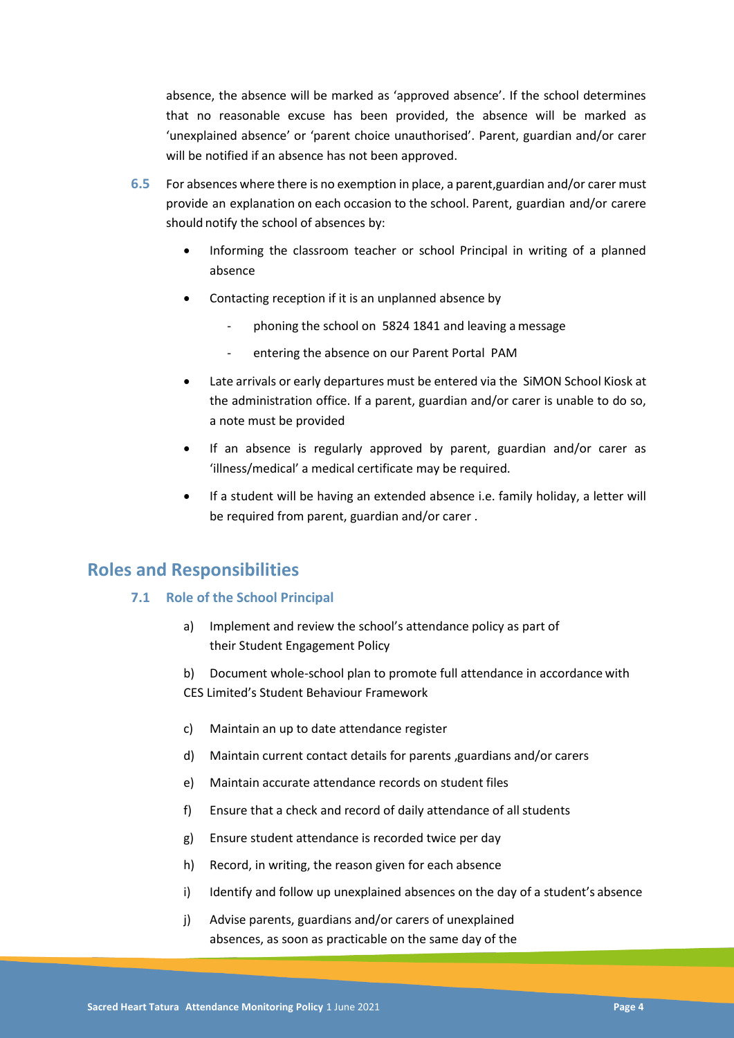absence, the absence will be marked as 'approved absence'. If the school determines that no reasonable excuse has been provided, the absence will be marked as 'unexplained absence' or 'parent choice unauthorised'. Parent, guardian and/or carer will be notified if an absence has not been approved.

- **6.5** For absences where there is no exemption in place, a parent,guardian and/or carer must provide an explanation on each occasion to the school. Parent, guardian and/or carere should notify the school of absences by:
	- Informing the classroom teacher or school Principal in writing of a planned absence
	- Contacting reception if it is an unplanned absence by
		- phoning the school on 5824 1841 and leaving a message
		- entering the absence on our Parent Portal PAM
	- Late arrivals or early departures must be entered via the SiMON School Kiosk at the administration office. If a parent, guardian and/or carer is unable to do so, a note must be provided
	- If an absence is regularly approved by parent, guardian and/or carer as 'illness/medical' a medical certificate may be required.
	- If a student will be having an extended absence i.e. family holiday, a letter will be required from parent, guardian and/or carer .

# **Roles and Responsibilities**

#### **7.1 Role of the School Principal**

a) Implement and review the school's attendance policy as part of their Student Engagement Policy

b) Document whole-school plan to promote full attendance in accordance with CES Limited's Student Behaviour Framework

- c) Maintain an up to date attendance register
- d) Maintain current contact details for parents ,guardians and/or carers
- e) Maintain accurate attendance records on student files
- f) Ensure that a check and record of daily attendance of all students
- g) Ensure student attendance is recorded twice per day
- h) Record, in writing, the reason given for each absence
- i) Identify and follow up unexplained absences on the day of a student's absence
- j) Advise parents, guardians and/or carers of unexplained absences, as soon as practicable on the same day of the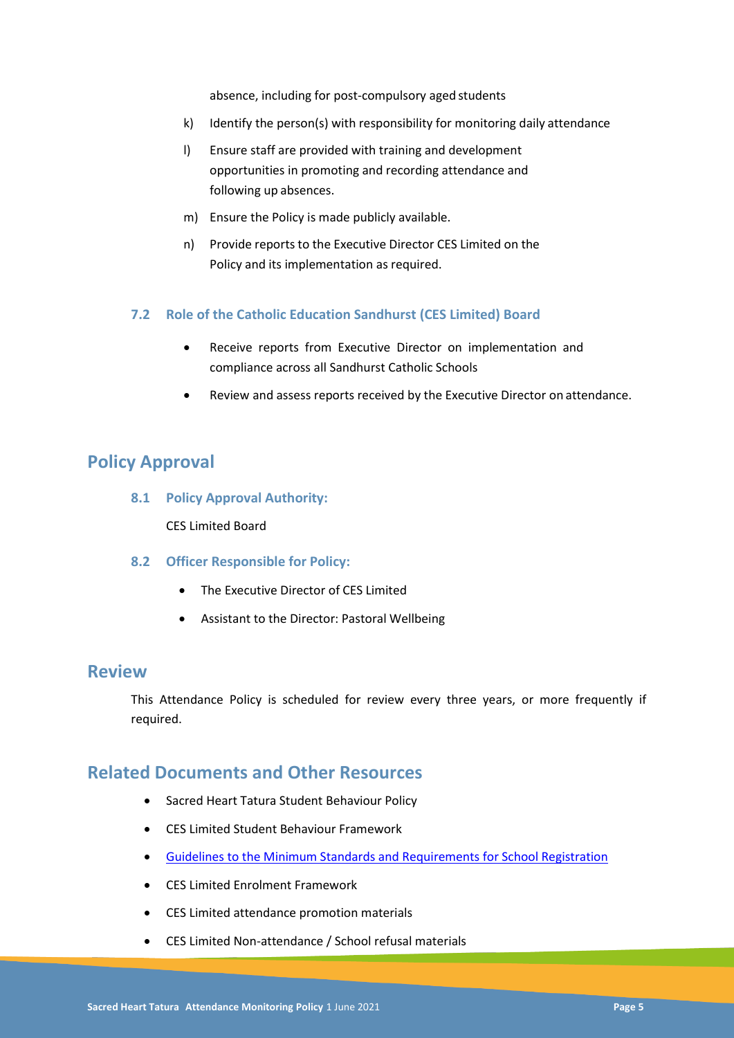absence, including for post-compulsory aged students

- k) Identify the person(s) with responsibility for monitoring daily attendance
- l) Ensure staff are provided with training and development opportunities in promoting and recording attendance and following up absences.
- m) Ensure the Policy is made publicly available.
- n) Provide reports to the Executive Director CES Limited on the Policy and its implementation as required.

#### **7.2 Role of the Catholic Education Sandhurst (CES Limited) Board**

- Receive reports from Executive Director on implementation and compliance across all Sandhurst Catholic Schools
- Review and assess reports received by the Executive Director on attendance.

#### **Policy Approval**

**8.1 Policy Approval Authority:**

CES Limited Board

- **8.2 Officer Responsible for Policy:**
	- The Executive Director of CES Limited
	- Assistant to the Director: Pastoral Wellbeing

#### **Review**

This Attendance Policy is scheduled for review every three years, or more frequently if required.

#### **Related Documents and Other Resources**

- Sacred Heart Tatura Student Behaviour Policy
- CES Limited Student Behaviour Framework
- [Guidelines to the Minimum Standards and Requirements for School Registration](https://www.vrqa.vic.gov.au/Documents/schoolstandards.docx)
- CES Limited Enrolment Framework
- CES Limited attendance promotion materials
- CES Limited Non-attendance / School refusal materials